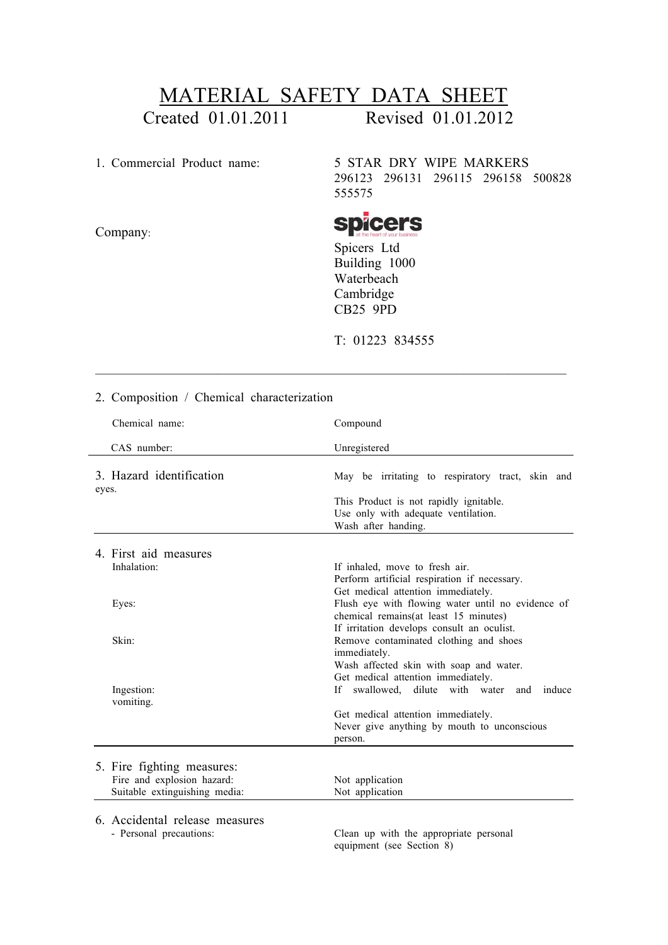## MATERIAL SAFETY DATA SHEET

Created 01.01.2011 Revised 01.01.2012

Company:

1. Commercial Product name: 5 STAR DRY WIPE MARKERS 296123 296131 296115 296158 500828 555575

**spicers** 

Spicers Ltd Building 1000 Waterbeach Cambridge CB25 9PD

T: 01223 834555

| 2. Composition / Chemical characterization                  |                                                                                                                                                                                |
|-------------------------------------------------------------|--------------------------------------------------------------------------------------------------------------------------------------------------------------------------------|
| Chemical name:                                              | Compound                                                                                                                                                                       |
| CAS number:                                                 | Unregistered                                                                                                                                                                   |
| 3. Hazard identification<br>eyes.                           | May be irritating to respiratory tract, skin and                                                                                                                               |
|                                                             | This Product is not rapidly ignitable.<br>Use only with adequate ventilation.<br>Wash after handing.                                                                           |
| 4. First aid measures                                       |                                                                                                                                                                                |
| Inhalation:                                                 | If inhaled, move to fresh air.<br>Perform artificial respiration if necessary.                                                                                                 |
| Eyes:                                                       | Get medical attention immediately.<br>Flush eye with flowing water until no evidence of<br>chemical remains(at least 15 minutes)<br>If irritation develops consult an oculist. |
| Skin:                                                       | Remove contaminated clothing and shoes<br>immediately.<br>Wash affected skin with soap and water.<br>Get medical attention immediately.                                        |
| Ingestion:<br>vomiting.                                     | If swallowed, dilute with water<br>induce<br>and                                                                                                                               |
|                                                             | Get medical attention immediately.<br>Never give anything by mouth to unconscious<br>person.                                                                                   |
| 5. Fire fighting measures:                                  |                                                                                                                                                                                |
| Fire and explosion hazard:<br>Suitable extinguishing media: | Not application<br>Not application                                                                                                                                             |
| 6. Accidental release measures<br>- Personal precautions:   | Clean up with the appropriate personal                                                                                                                                         |

equipment (see Section 8)

 $\mathcal{L}_\text{max} = \mathcal{L}_\text{max} = \mathcal{L}_\text{max} = \mathcal{L}_\text{max} = \mathcal{L}_\text{max} = \mathcal{L}_\text{max} = \mathcal{L}_\text{max} = \mathcal{L}_\text{max} = \mathcal{L}_\text{max} = \mathcal{L}_\text{max} = \mathcal{L}_\text{max} = \mathcal{L}_\text{max} = \mathcal{L}_\text{max} = \mathcal{L}_\text{max} = \mathcal{L}_\text{max} = \mathcal{L}_\text{max} = \mathcal{L}_\text{max} = \mathcal{L}_\text{max} = \mathcal{$ 

2. Composition / Chemical characterization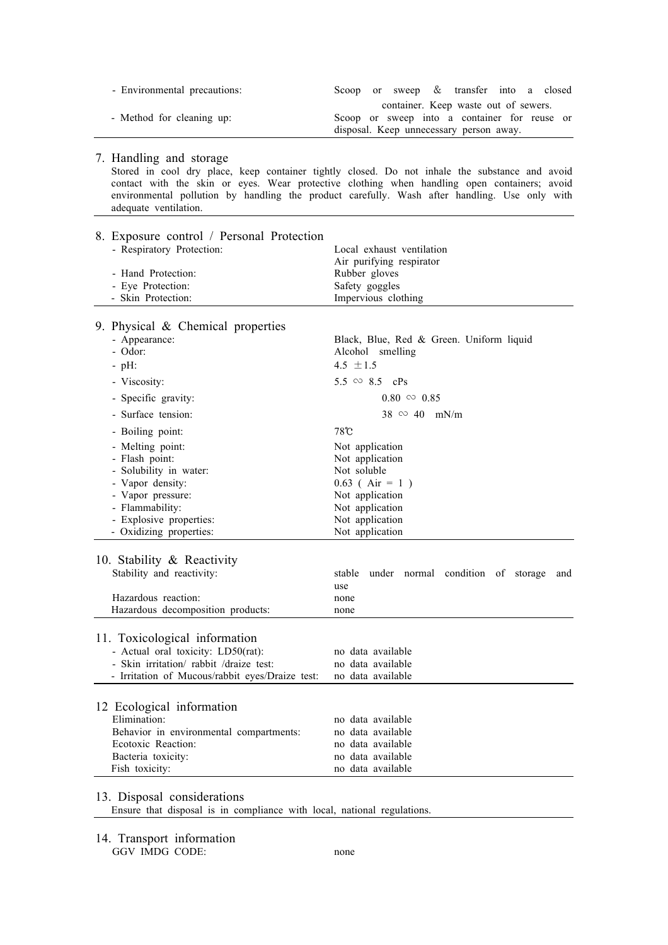| - Environmental precautions: | Scoop or sweep & transfer into a closed      |  |
|------------------------------|----------------------------------------------|--|
|                              | container. Keep waste out of sewers.         |  |
| - Method for cleaning up:    | Scoop or sweep into a container for reuse or |  |
|                              | disposal. Keep unnecessary person away.      |  |

## 7. Handling and storage

 Stored in cool dry place, keep container tightly closed. Do not inhale the substance and avoid contact with the skin or eyes. Wear protective clothing when handling open containers; avoid environmental pollution by handling the product carefully. Wash after handling. Use only with adequate ventilation.

| - Respiratory Protection:<br>Local exhaust ventilation<br>Air purifying respirator<br>- Hand Protection:<br>Rubber gloves<br>- Eye Protection:<br>Safety goggles<br>- Skin Protection:<br>Impervious clothing<br>9. Physical $\&$ Chemical properties<br>- Appearance:<br>Black, Blue, Red & Green. Uniform liquid<br>- Odor:<br>Alcohol smelling<br>4.5 $\pm 1.5$<br>$-pH$ :<br>$5.5 \approx 8.5$ cPs<br>- Viscosity:<br>$0.80 \approx 0.85$<br>- Specific gravity:<br>- Surface tension:<br>$38 \, \approx 40 \, \text{mN/m}$<br>$78^\circ$ C<br>- Boiling point:<br>- Melting point:<br>Not application<br>- Flash point:<br>Not application<br>- Solubility in water:<br>Not soluble<br>- Vapor density:<br>$0.63$ (Air = 1)<br>- Vapor pressure:<br>Not application<br>- Flammability:<br>Not application<br>Not application<br>- Explosive properties:<br>- Oxidizing properties:<br>Not application<br>10. Stability $\&$ Reactivity<br>Stability and reactivity:<br>stable<br>under normal condition of storage<br>and<br>use<br>Hazardous reaction:<br>none<br>Hazardous decomposition products:<br>none<br>11. Toxicological information<br>- Actual oral toxicity: LD50(rat):<br>no data available<br>- Skin irritation/rabbit /draize test:<br>no data available<br>- Irritation of Mucous/rabbit eyes/Draize test:<br>no data available<br>12 Ecological information<br>Elimination:<br>no data available<br>Behavior in environmental compartments:<br>no data available<br>Ecotoxic Reaction:<br>no data available<br>Bacteria toxicity:<br>no data available<br>no data available<br>Fish toxicity: | 8. Exposure control / Personal Protection |  |
|---------------------------------------------------------------------------------------------------------------------------------------------------------------------------------------------------------------------------------------------------------------------------------------------------------------------------------------------------------------------------------------------------------------------------------------------------------------------------------------------------------------------------------------------------------------------------------------------------------------------------------------------------------------------------------------------------------------------------------------------------------------------------------------------------------------------------------------------------------------------------------------------------------------------------------------------------------------------------------------------------------------------------------------------------------------------------------------------------------------------------------------------------------------------------------------------------------------------------------------------------------------------------------------------------------------------------------------------------------------------------------------------------------------------------------------------------------------------------------------------------------------------------------------------------------------------------------------------------------------------|-------------------------------------------|--|
|                                                                                                                                                                                                                                                                                                                                                                                                                                                                                                                                                                                                                                                                                                                                                                                                                                                                                                                                                                                                                                                                                                                                                                                                                                                                                                                                                                                                                                                                                                                                                                                                                     |                                           |  |
|                                                                                                                                                                                                                                                                                                                                                                                                                                                                                                                                                                                                                                                                                                                                                                                                                                                                                                                                                                                                                                                                                                                                                                                                                                                                                                                                                                                                                                                                                                                                                                                                                     |                                           |  |
|                                                                                                                                                                                                                                                                                                                                                                                                                                                                                                                                                                                                                                                                                                                                                                                                                                                                                                                                                                                                                                                                                                                                                                                                                                                                                                                                                                                                                                                                                                                                                                                                                     |                                           |  |
|                                                                                                                                                                                                                                                                                                                                                                                                                                                                                                                                                                                                                                                                                                                                                                                                                                                                                                                                                                                                                                                                                                                                                                                                                                                                                                                                                                                                                                                                                                                                                                                                                     |                                           |  |
|                                                                                                                                                                                                                                                                                                                                                                                                                                                                                                                                                                                                                                                                                                                                                                                                                                                                                                                                                                                                                                                                                                                                                                                                                                                                                                                                                                                                                                                                                                                                                                                                                     |                                           |  |
|                                                                                                                                                                                                                                                                                                                                                                                                                                                                                                                                                                                                                                                                                                                                                                                                                                                                                                                                                                                                                                                                                                                                                                                                                                                                                                                                                                                                                                                                                                                                                                                                                     |                                           |  |
|                                                                                                                                                                                                                                                                                                                                                                                                                                                                                                                                                                                                                                                                                                                                                                                                                                                                                                                                                                                                                                                                                                                                                                                                                                                                                                                                                                                                                                                                                                                                                                                                                     |                                           |  |
|                                                                                                                                                                                                                                                                                                                                                                                                                                                                                                                                                                                                                                                                                                                                                                                                                                                                                                                                                                                                                                                                                                                                                                                                                                                                                                                                                                                                                                                                                                                                                                                                                     |                                           |  |
|                                                                                                                                                                                                                                                                                                                                                                                                                                                                                                                                                                                                                                                                                                                                                                                                                                                                                                                                                                                                                                                                                                                                                                                                                                                                                                                                                                                                                                                                                                                                                                                                                     |                                           |  |
|                                                                                                                                                                                                                                                                                                                                                                                                                                                                                                                                                                                                                                                                                                                                                                                                                                                                                                                                                                                                                                                                                                                                                                                                                                                                                                                                                                                                                                                                                                                                                                                                                     |                                           |  |
|                                                                                                                                                                                                                                                                                                                                                                                                                                                                                                                                                                                                                                                                                                                                                                                                                                                                                                                                                                                                                                                                                                                                                                                                                                                                                                                                                                                                                                                                                                                                                                                                                     |                                           |  |
|                                                                                                                                                                                                                                                                                                                                                                                                                                                                                                                                                                                                                                                                                                                                                                                                                                                                                                                                                                                                                                                                                                                                                                                                                                                                                                                                                                                                                                                                                                                                                                                                                     |                                           |  |
|                                                                                                                                                                                                                                                                                                                                                                                                                                                                                                                                                                                                                                                                                                                                                                                                                                                                                                                                                                                                                                                                                                                                                                                                                                                                                                                                                                                                                                                                                                                                                                                                                     |                                           |  |
|                                                                                                                                                                                                                                                                                                                                                                                                                                                                                                                                                                                                                                                                                                                                                                                                                                                                                                                                                                                                                                                                                                                                                                                                                                                                                                                                                                                                                                                                                                                                                                                                                     |                                           |  |
|                                                                                                                                                                                                                                                                                                                                                                                                                                                                                                                                                                                                                                                                                                                                                                                                                                                                                                                                                                                                                                                                                                                                                                                                                                                                                                                                                                                                                                                                                                                                                                                                                     |                                           |  |
|                                                                                                                                                                                                                                                                                                                                                                                                                                                                                                                                                                                                                                                                                                                                                                                                                                                                                                                                                                                                                                                                                                                                                                                                                                                                                                                                                                                                                                                                                                                                                                                                                     |                                           |  |
|                                                                                                                                                                                                                                                                                                                                                                                                                                                                                                                                                                                                                                                                                                                                                                                                                                                                                                                                                                                                                                                                                                                                                                                                                                                                                                                                                                                                                                                                                                                                                                                                                     |                                           |  |
|                                                                                                                                                                                                                                                                                                                                                                                                                                                                                                                                                                                                                                                                                                                                                                                                                                                                                                                                                                                                                                                                                                                                                                                                                                                                                                                                                                                                                                                                                                                                                                                                                     |                                           |  |
|                                                                                                                                                                                                                                                                                                                                                                                                                                                                                                                                                                                                                                                                                                                                                                                                                                                                                                                                                                                                                                                                                                                                                                                                                                                                                                                                                                                                                                                                                                                                                                                                                     |                                           |  |
|                                                                                                                                                                                                                                                                                                                                                                                                                                                                                                                                                                                                                                                                                                                                                                                                                                                                                                                                                                                                                                                                                                                                                                                                                                                                                                                                                                                                                                                                                                                                                                                                                     |                                           |  |
|                                                                                                                                                                                                                                                                                                                                                                                                                                                                                                                                                                                                                                                                                                                                                                                                                                                                                                                                                                                                                                                                                                                                                                                                                                                                                                                                                                                                                                                                                                                                                                                                                     |                                           |  |
|                                                                                                                                                                                                                                                                                                                                                                                                                                                                                                                                                                                                                                                                                                                                                                                                                                                                                                                                                                                                                                                                                                                                                                                                                                                                                                                                                                                                                                                                                                                                                                                                                     |                                           |  |
|                                                                                                                                                                                                                                                                                                                                                                                                                                                                                                                                                                                                                                                                                                                                                                                                                                                                                                                                                                                                                                                                                                                                                                                                                                                                                                                                                                                                                                                                                                                                                                                                                     |                                           |  |
|                                                                                                                                                                                                                                                                                                                                                                                                                                                                                                                                                                                                                                                                                                                                                                                                                                                                                                                                                                                                                                                                                                                                                                                                                                                                                                                                                                                                                                                                                                                                                                                                                     |                                           |  |
|                                                                                                                                                                                                                                                                                                                                                                                                                                                                                                                                                                                                                                                                                                                                                                                                                                                                                                                                                                                                                                                                                                                                                                                                                                                                                                                                                                                                                                                                                                                                                                                                                     |                                           |  |
|                                                                                                                                                                                                                                                                                                                                                                                                                                                                                                                                                                                                                                                                                                                                                                                                                                                                                                                                                                                                                                                                                                                                                                                                                                                                                                                                                                                                                                                                                                                                                                                                                     |                                           |  |
|                                                                                                                                                                                                                                                                                                                                                                                                                                                                                                                                                                                                                                                                                                                                                                                                                                                                                                                                                                                                                                                                                                                                                                                                                                                                                                                                                                                                                                                                                                                                                                                                                     |                                           |  |
|                                                                                                                                                                                                                                                                                                                                                                                                                                                                                                                                                                                                                                                                                                                                                                                                                                                                                                                                                                                                                                                                                                                                                                                                                                                                                                                                                                                                                                                                                                                                                                                                                     |                                           |  |
|                                                                                                                                                                                                                                                                                                                                                                                                                                                                                                                                                                                                                                                                                                                                                                                                                                                                                                                                                                                                                                                                                                                                                                                                                                                                                                                                                                                                                                                                                                                                                                                                                     |                                           |  |
|                                                                                                                                                                                                                                                                                                                                                                                                                                                                                                                                                                                                                                                                                                                                                                                                                                                                                                                                                                                                                                                                                                                                                                                                                                                                                                                                                                                                                                                                                                                                                                                                                     |                                           |  |
|                                                                                                                                                                                                                                                                                                                                                                                                                                                                                                                                                                                                                                                                                                                                                                                                                                                                                                                                                                                                                                                                                                                                                                                                                                                                                                                                                                                                                                                                                                                                                                                                                     |                                           |  |
|                                                                                                                                                                                                                                                                                                                                                                                                                                                                                                                                                                                                                                                                                                                                                                                                                                                                                                                                                                                                                                                                                                                                                                                                                                                                                                                                                                                                                                                                                                                                                                                                                     |                                           |  |
|                                                                                                                                                                                                                                                                                                                                                                                                                                                                                                                                                                                                                                                                                                                                                                                                                                                                                                                                                                                                                                                                                                                                                                                                                                                                                                                                                                                                                                                                                                                                                                                                                     |                                           |  |
|                                                                                                                                                                                                                                                                                                                                                                                                                                                                                                                                                                                                                                                                                                                                                                                                                                                                                                                                                                                                                                                                                                                                                                                                                                                                                                                                                                                                                                                                                                                                                                                                                     |                                           |  |
|                                                                                                                                                                                                                                                                                                                                                                                                                                                                                                                                                                                                                                                                                                                                                                                                                                                                                                                                                                                                                                                                                                                                                                                                                                                                                                                                                                                                                                                                                                                                                                                                                     |                                           |  |
|                                                                                                                                                                                                                                                                                                                                                                                                                                                                                                                                                                                                                                                                                                                                                                                                                                                                                                                                                                                                                                                                                                                                                                                                                                                                                                                                                                                                                                                                                                                                                                                                                     |                                           |  |
|                                                                                                                                                                                                                                                                                                                                                                                                                                                                                                                                                                                                                                                                                                                                                                                                                                                                                                                                                                                                                                                                                                                                                                                                                                                                                                                                                                                                                                                                                                                                                                                                                     |                                           |  |
|                                                                                                                                                                                                                                                                                                                                                                                                                                                                                                                                                                                                                                                                                                                                                                                                                                                                                                                                                                                                                                                                                                                                                                                                                                                                                                                                                                                                                                                                                                                                                                                                                     |                                           |  |
|                                                                                                                                                                                                                                                                                                                                                                                                                                                                                                                                                                                                                                                                                                                                                                                                                                                                                                                                                                                                                                                                                                                                                                                                                                                                                                                                                                                                                                                                                                                                                                                                                     |                                           |  |
|                                                                                                                                                                                                                                                                                                                                                                                                                                                                                                                                                                                                                                                                                                                                                                                                                                                                                                                                                                                                                                                                                                                                                                                                                                                                                                                                                                                                                                                                                                                                                                                                                     |                                           |  |
|                                                                                                                                                                                                                                                                                                                                                                                                                                                                                                                                                                                                                                                                                                                                                                                                                                                                                                                                                                                                                                                                                                                                                                                                                                                                                                                                                                                                                                                                                                                                                                                                                     |                                           |  |
|                                                                                                                                                                                                                                                                                                                                                                                                                                                                                                                                                                                                                                                                                                                                                                                                                                                                                                                                                                                                                                                                                                                                                                                                                                                                                                                                                                                                                                                                                                                                                                                                                     |                                           |  |

## 13. Disposal considerations

Ensure that disposal is in compliance with local, national regulations.

14. Transport information GGV IMDG CODE: none